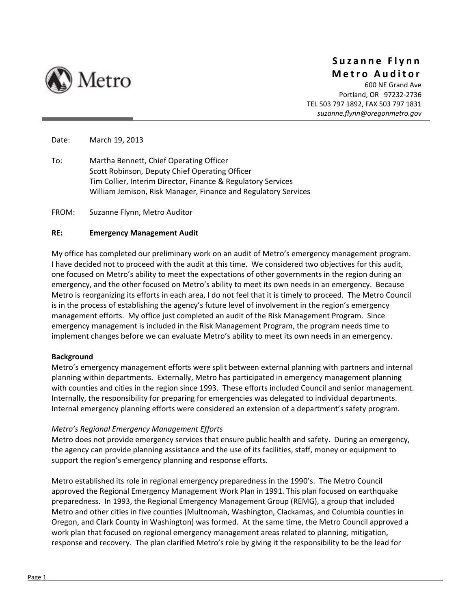

# **Suzanne Flynn Metro Auditor**

600 NE Grand Ave Portland, OR 97232‐2736 TEL 503 797 1892, FAX 503 797 1831 *suzanne.flynn@oregonmetro.gov*

Date: March 19, 2013

To: Martha Bennett, Chief Operating Officer Scott Robinson, Deputy Chief Operating Officer Tim Collier, Interim Director, Finance & Regulatory Services William Jemison, Risk Manager, Finance and Regulatory Services

FROM: Suzanne Flynn, Metro Auditor

#### **RE: Emergency Management Audit**

My office has completed our preliminary work on an audit of Metro's emergency management program. I have decided not to proceed with the audit at this time. We considered two objectives for this audit, one focused on Metro's ability to meet the expectations of other governments in the region during an emergency, and the other focused on Metro's ability to meet its own needs in an emergency. Because Metro is reorganizing its efforts in each area, I do not feel that it is timely to proceed. The Metro Council is in the process of establishing the agency's future level of involvement in the region's emergency management efforts. My office just completed an audit of the Risk Management Program. Since emergency management is included in the Risk Management Program, the program needs time to implement changes before we can evaluate Metro's ability to meet its own needs in an emergency.

#### **Background**

Metro's emergency management efforts were split between external planning with partners and internal planning within departments. Externally, Metro has participated in emergency management planning with counties and cities in the region since 1993. These efforts included Council and senior management. Internally, the responsibility for preparing for emergencies was delegated to individual departments. Internal emergency planning efforts were considered an extension of a department's safety program.

### *Metro's Regional Emergency Management Efforts*

Metro does not provide emergency services that ensure public health and safety. During an emergency, the agency can provide planning assistance and the use of its facilities, staff, money or equipment to support the region's emergency planning and response efforts.

Metro established its role in regional emergency preparedness in the 1990's. The Metro Council approved the Regional Emergency Management Work Plan in 1991. This plan focused on earthquake preparedness. In 1993, the Regional Emergency Management Group (REMG), a group that included Metro and other cities in five counties (Multnomah, Washington, Clackamas, and Columbia counties in Oregon, and Clark County in Washington) was formed. At the same time, the Metro Council approved a work plan that focused on regional emergency management areas related to planning, mitigation, response and recovery. The plan clarified Metro's role by giving it the responsibility to be the lead for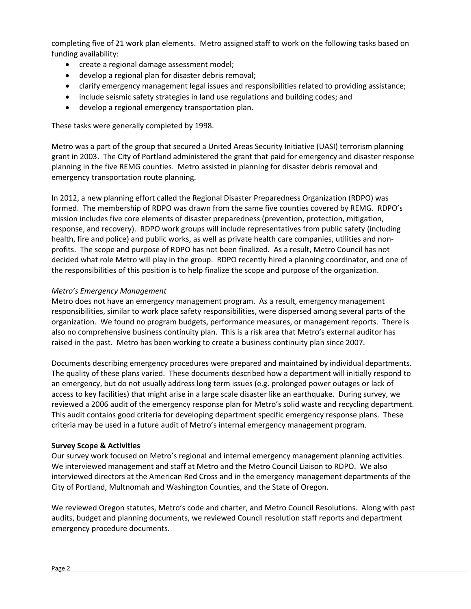completing five of 21 work plan elements. Metro assigned staff to work on the following tasks based on funding availability:

- create a regional damage assessment model;
- develop a regional plan for disaster debris removal;
- clarify emergency management legal issues and responsibilities related to providing assistance;
- include seismic safety strategies in land use regulations and building codes; and
- develop a regional emergency transportation plan.

These tasks were generally completed by 1998.

Metro was a part of the group that secured a United Areas Security Initiative (UASI) terrorism planning grant in 2003. The City of Portland administered the grant that paid for emergency and disaster response planning in the five REMG counties. Metro assisted in planning for disaster debris removal and emergency transportation route planning.

In 2012, a new planning effort called the Regional Disaster Preparedness Organization (RDPO) was formed. The membership of RDPO was drawn from the same five counties covered by REMG. RDPO's mission includes five core elements of disaster preparedness (prevention, protection, mitigation, response, and recovery). RDPO work groups will include representatives from public safety (including health, fire and police) and public works, as well as private health care companies, utilities and non‐ profits. The scope and purpose of RDPO has not been finalized. As a result, Metro Council has not decided what role Metro will play in the group. RDPO recently hired a planning coordinator, and one of the responsibilities of this position is to help finalize the scope and purpose of the organization.

### *Metro's Emergency Management*

Metro does not have an emergency management program. As a result, emergency management responsibilities, similar to work place safety responsibilities, were dispersed among several parts of the organization. We found no program budgets, performance measures, or management reports. There is also no comprehensive business continuity plan. This is a risk area that Metro's external auditor has raised in the past. Metro has been working to create a business continuity plan since 2007.

Documents describing emergency procedures were prepared and maintained by individual departments. The quality of these plans varied. These documents described how a department will initially respond to an emergency, but do not usually address long term issues (e.g. prolonged power outages or lack of access to key facilities) that might arise in a large scale disaster like an earthquake. During survey, we reviewed a 2006 audit of the emergency response plan for Metro's solid waste and recycling department. This audit contains good criteria for developing department specific emergency response plans. These criteria may be used in a future audit of Metro's internal emergency management program.

### **Survey Scope & Activities**

Our survey work focused on Metro's regional and internal emergency management planning activities. We interviewed management and staff at Metro and the Metro Council Liaison to RDPO. We also interviewed directors at the American Red Cross and in the emergency management departments of the City of Portland, Multnomah and Washington Counties, and the State of Oregon.

We reviewed Oregon statutes, Metro's code and charter, and Metro Council Resolutions. Along with past audits, budget and planning documents, we reviewed Council resolution staff reports and department emergency procedure documents.